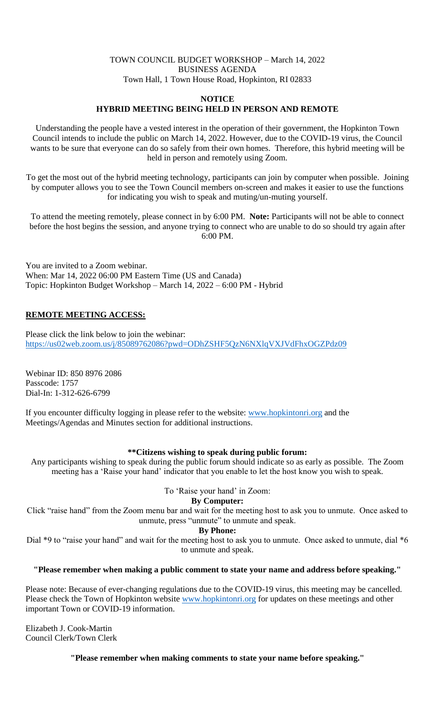TOWN COUNCIL BUDGET WORKSHOP – March 14, 2022 BUSINESS AGENDA Town Hall, 1 Town House Road, Hopkinton, RI 02833

## **NOTICE HYBRID MEETING BEING HELD IN PERSON AND REMOTE**

Understanding the people have a vested interest in the operation of their government, the Hopkinton Town Council intends to include the public on March 14, 2022. However, due to the COVID-19 virus, the Council wants to be sure that everyone can do so safely from their own homes. Therefore, this hybrid meeting will be held in person and remotely using Zoom.

To get the most out of the hybrid meeting technology, participants can join by computer when possible. Joining by computer allows you to see the Town Council members on-screen and makes it easier to use the functions for indicating you wish to speak and muting/un-muting yourself.

To attend the meeting remotely, please connect in by 6:00 PM. **Note:** Participants will not be able to connect before the host begins the session, and anyone trying to connect who are unable to do so should try again after 6:00 PM.

You are invited to a Zoom webinar. When: Mar 14, 2022 06:00 PM Eastern Time (US and Canada) Topic: Hopkinton Budget Workshop – March 14, 2022 – 6:00 PM - Hybrid

# **REMOTE MEETING ACCESS:**

Please click the link below to join the webinar: <https://us02web.zoom.us/j/85089762086?pwd=ODhZSHF5QzN6NXlqVXJVdFhxOGZPdz09>

Webinar ID: 850 8976 2086 Passcode: 1757 Dial-In: 1-312-626-6799

If you encounter difficulty logging in please refer to the website: [www.hopkintonri.org](http://www.hopkintonri.org/) and the Meetings/Agendas and Minutes section for additional instructions.

# **\*\*Citizens wishing to speak during public forum:**

Any participants wishing to speak during the public forum should indicate so as early as possible. The Zoom meeting has a 'Raise your hand' indicator that you enable to let the host know you wish to speak.

### To 'Raise your hand' in Zoom:

**By Computer:**

Click "raise hand" from the Zoom menu bar and wait for the meeting host to ask you to unmute. Once asked to unmute, press "unmute" to unmute and speak.

**By Phone:**

Dial \*9 to "raise your hand" and wait for the meeting host to ask you to unmute. Once asked to unmute, dial \*6 to unmute and speak.

### **"Please remember when making a public comment to state your name and address before speaking."**

Please note: Because of ever-changing regulations due to the COVID-19 virus, this meeting may be cancelled. Please check the Town of Hopkinton website [www.hopkintonri.org](http://www.hopkintonri.org/) for updates on these meetings and other important Town or COVID-19 information.

Elizabeth J. Cook-Martin Council Clerk/Town Clerk

**"Please remember when making comments to state your name before speaking."**